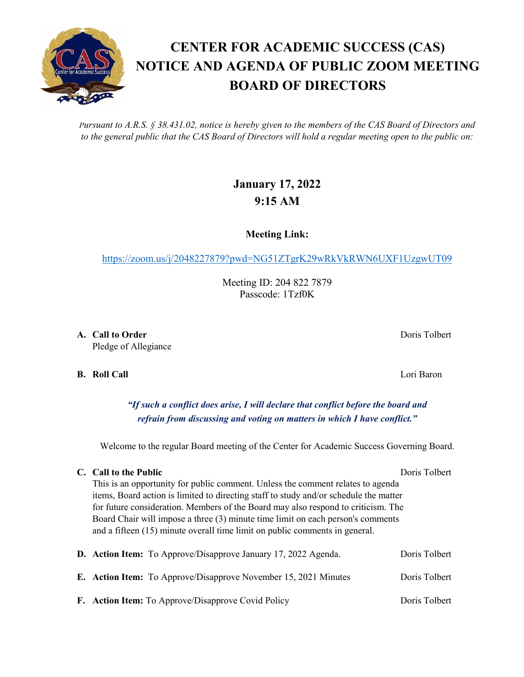*Pursuant to A.R.S. § 38.431.02, notice is hereby given to the members of the CAS Board of Directors and to the general public that the CAS Board of Directors will hold a regular meeting open to the public on:*

## **January 17, 2022 9:15 AM**

**Meeting Link:**

<https://zoom.us/j/2048227879?pwd=NG51ZTgrK29wRkVkRWN6UXF1UzgwUT09>

Meeting ID: 204 822 7879 Passcode: 1Tzf0K

**A. Call to Order** Doris Tolbert **Doris Tolbert** Pledge of Allegiance

**B. Roll Call** Lori Baron

*"If such a conflict does arise, I will declare that conflict before the board and refrain from discussing and voting on matters in which I have conflict."*

Welcome to the regular Board meeting of the Center for Academic Success Governing Board.

## **C. Call to the Public** Doris Tolbert

This is an opportunity for public comment. Unless the comment relates to agenda items, Board action is limited to directing staff to study and/or schedule the matter for future consideration. Members of the Board may also respond to criticism. The Board Chair will impose a three (3) minute time limit on each person's comments and a fifteen (15) minute overall time limit on public comments in general.

|  | <b>D.</b> Action Item: To Approve/Disapprove January 17, 2022 Agenda.  | Doris Tolbert |
|--|------------------------------------------------------------------------|---------------|
|  | <b>E.</b> Action Item: To Approve/Disapprove November 15, 2021 Minutes | Doris Tolbert |
|  | F. Action Item: To Approve/Disapprove Covid Policy                     | Doris Tolbert |

## **CENTER FOR ACADEMIC SUCCESS (CAS) NOTICE AND AGENDA OF PUBLIC ZOOM MEETING BOARD OF DIRECTORS**